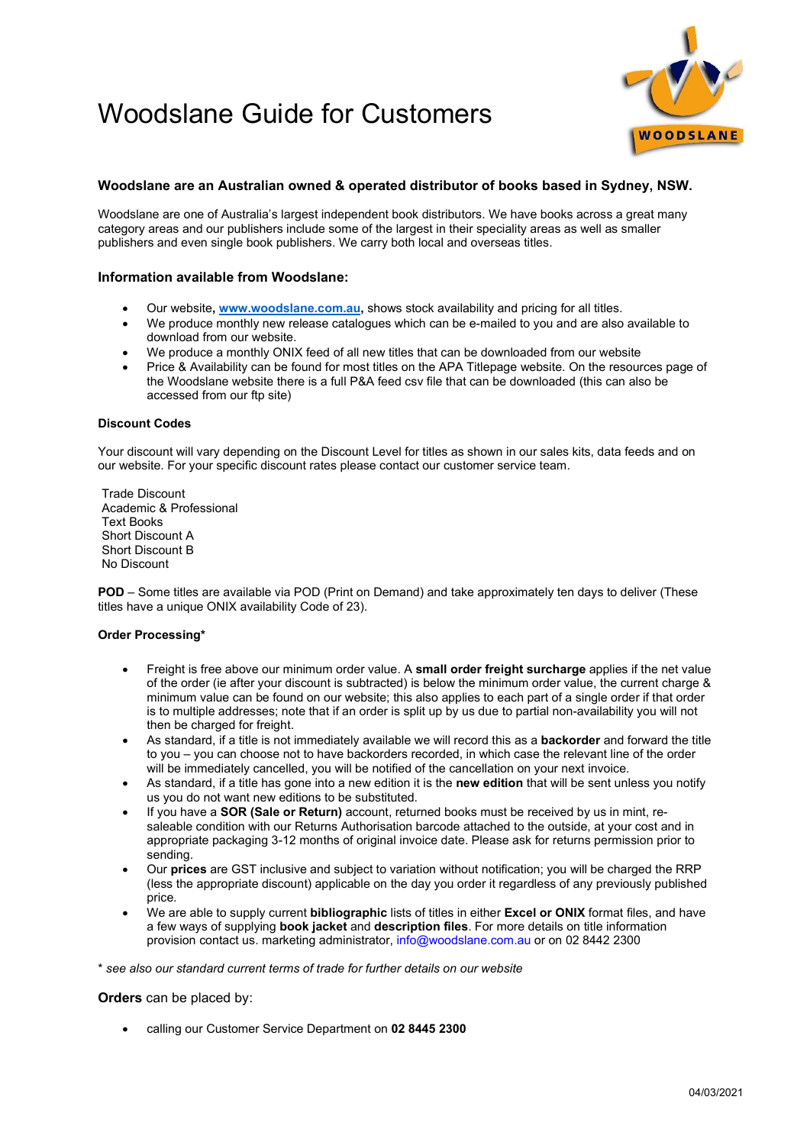# Woodslane Guide for Customers



## Woodslane are an Australian owned & operated distributor of books based in Sydney, NSW.

Woodslane are one of Australia's largest independent book distributors. We have books across a great many category areas and our publishers include some of the largest in their speciality areas as well as smaller publishers and even single book publishers. We carry both local and overseas titles.

### Information available from Woodslane:

- Our website, www.woodslane.com.au, shows stock availability and pricing for all titles.
- We produce monthly new release catalogues which can be e-mailed to you and are also available to download from our website.
- We produce a monthly ONIX feed of all new titles that can be downloaded from our website
- Price & Availability can be found for most titles on the APA Titlepage website. On the resources page of the Woodslane website there is a full P&A feed csv file that can be downloaded (this can also be accessed from our ftp site)

#### Discount Codes

Your discount will vary depending on the Discount Level for titles as shown in our sales kits, data feeds and on our website. For your specific discount rates please contact our customer service team.

Trade Discount Academic & Professional Text Books Short Discount A Short Discount B No Discount

POD – Some titles are available via POD (Print on Demand) and take approximately ten days to deliver (These titles have a unique ONIX availability Code of 23).

#### Order Processing\*

- Freight is free above our minimum order value. A small order freight surcharge applies if the net value of the order (ie after your discount is subtracted) is below the minimum order value, the current charge & minimum value can be found on our website; this also applies to each part of a single order if that order is to multiple addresses; note that if an order is split up by us due to partial non-availability you will not then be charged for freight.
- As standard, if a title is not immediately available we will record this as a **backorder** and forward the title to you – you can choose not to have backorders recorded, in which case the relevant line of the order will be immediately cancelled, you will be notified of the cancellation on your next invoice.
- As standard, if a title has gone into a new edition it is the new edition that will be sent unless you notify us you do not want new editions to be substituted.
- If you have a **SOR (Sale or Return)** account, returned books must be received by us in mint, resaleable condition with our Returns Authorisation barcode attached to the outside, at your cost and in appropriate packaging 3-12 months of original invoice date. Please ask for returns permission prior to sending.
- Our prices are GST inclusive and subject to variation without notification; you will be charged the RRP (less the appropriate discount) applicable on the day you order it regardless of any previously published price.
- We are able to supply current **bibliographic** lists of titles in either **Excel or ONIX** format files, and have a few ways of supplying **book jacket** and **description files**. For more details on title information provision contact us. marketing administrator, info@woodslane.com.au or on 02 8442 2300

\* see also our standard current terms of trade for further details on our website

#### **Orders** can be placed by:

calling our Customer Service Department on 02 8445 2300